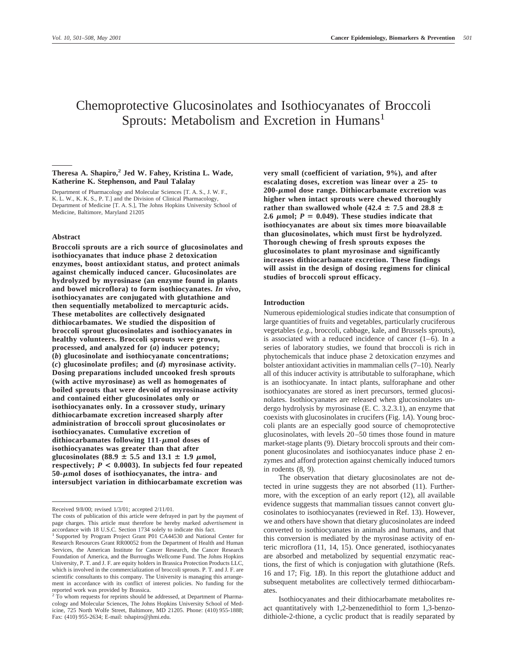# Chemoprotective Glucosinolates and Isothiocyanates of Broccoli Sprouts: Metabolism and Excretion in Humans<sup>1</sup>

## **Theresa A. Shapiro,2 Jed W. Fahey, Kristina L. Wade, Katherine K. Stephenson, and Paul Talalay**

Department of Pharmacology and Molecular Sciences [T. A. S., J. W. F., K. L. W., K. K. S., P. T.] and the Division of Clinical Pharmacology, Department of Medicine [T. A. S.], The Johns Hopkins University School of Medicine, Baltimore, Maryland 21205

## **Abstract**

**Broccoli sprouts are a rich source of glucosinolates and isothiocyanates that induce phase 2 detoxication enzymes, boost antioxidant status, and protect animals against chemically induced cancer. Glucosinolates are hydrolyzed by myrosinase (an enzyme found in plants and bowel microflora) to form isothiocyanates.** *In vivo***, isothiocyanates are conjugated with glutathione and then sequentially metabolized to mercapturic acids. These metabolites are collectively designated dithiocarbamates. We studied the disposition of broccoli sprout glucosinolates and isothiocyanates in healthy volunteers. Broccoli sprouts were grown, processed, and analyzed for (***a***) inducer potency; (***b***) glucosinolate and isothiocyanate concentrations; (***c***) glucosinolate profiles; and (***d***) myrosinase activity. Dosing preparations included uncooked fresh sprouts (with active myrosinase) as well as homogenates of boiled sprouts that were devoid of myrosinase activity and contained either glucosinolates only or isothiocyanates only. In a crossover study, urinary dithiocarbamate excretion increased sharply after administration of broccoli sprout glucosinolates or isothiocyanates. Cumulative excretion of** dithiocarbamates following  $111$ - $\mu$ mol doses of **isothiocyanates was greater than that after glucosinolates (88.9**  $\pm$  5.5 and 13.1  $\pm$  1.9  $\mu$ mol, **respectively;** *P* **< 0.0003). In subjects fed four repeated 50-**m**mol doses of isothiocyanates, the intra- and intersubject variation in dithiocarbamate excretion was** **very small (coefficient of variation, 9%), and after escalating doses, excretion was linear over a 25- to 200-**m**mol dose range. Dithiocarbamate excretion was higher when intact sprouts were chewed thoroughly** rather than swallowed whole  $(42.4 \pm 7.5 \text{ and } 28.8 \pm \text{)}$ 2.6  $\mu$ mol;  $P = 0.049$ ). These studies indicate that **isothiocyanates are about six times more bioavailable than glucosinolates, which must first be hydrolyzed. Thorough chewing of fresh sprouts exposes the glucosinolates to plant myrosinase and significantly increases dithiocarbamate excretion. These findings will assist in the design of dosing regimens for clinical studies of broccoli sprout efficacy.**

#### **Introduction**

Numerous epidemiological studies indicate that consumption of large quantities of fruits and vegetables, particularly cruciferous vegetables (*e.g.,* broccoli, cabbage, kale, and Brussels sprouts), is associated with a reduced incidence of cancer  $(1-6)$ . In a series of laboratory studies, we found that broccoli is rich in phytochemicals that induce phase 2 detoxication enzymes and bolster antioxidant activities in mammalian cells (7–10). Nearly all of this inducer activity is attributable to sulforaphane, which is an isothiocyanate. In intact plants, sulforaphane and other isothiocyanates are stored as inert precursors, termed glucosinolates. Isothiocyanates are released when glucosinolates undergo hydrolysis by myrosinase (E. C. 3.2.3.1), an enzyme that coexists with glucosinolates in crucifers (Fig. 1*A*). Young broccoli plants are an especially good source of chemoprotective glucosinolates, with levels 20–50 times those found in mature market-stage plants (9). Dietary broccoli sprouts and their component glucosinolates and isothiocyanates induce phase 2 enzymes and afford protection against chemically induced tumors in rodents (8, 9).

The observation that dietary glucosinolates are not detected in urine suggests they are not absorbed (11). Furthermore, with the exception of an early report (12), all available evidence suggests that mammalian tissues cannot convert glucosinolates to isothiocyanates (reviewed in Ref. 13). However, we and others have shown that dietary glucosinolates are indeed converted to isothiocyanates in animals and humans, and that this conversion is mediated by the myrosinase activity of enteric microflora (11, 14, 15). Once generated, isothiocyanates are absorbed and metabolized by sequential enzymatic reactions, the first of which is conjugation with glutathione (Refs. 16 and 17; Fig. 1*B*). In this report the glutathione adduct and subsequent metabolites are collectively termed dithiocarbamates.

Isothiocyanates and their dithiocarbamate metabolites react quantitatively with 1,2-benzenedithiol to form 1,3-benzodithiole-2-thione, a cyclic product that is readily separated by

Received 9/8/00; revised 1/3/01; accepted 2/11/01.

The costs of publication of this article were defrayed in part by the payment of page charges. This article must therefore be hereby marked *advertisement* in accordance with 18 U.S.C. Section 1734 solely to indicate this fact.

<sup>&</sup>lt;sup>1</sup> Supported by Program Project Grant P01 CA44530 and National Center for Research Resources Grant RR00052 from the Department of Health and Human Services, the American Institute for Cancer Research, the Cancer Research Foundation of America, and the Burroughs Wellcome Fund. The Johns Hopkins University, P. T. and J. F. are equity holders in Brassica Protection Products LLC, which is involved in the commercialization of broccoli sprouts. P. T. and J. F. are scientific consultants to this company. The University is managing this arrangement in accordance with its conflict of interest policies. No funding for the reported work was provided by Brassica.

<sup>&</sup>lt;sup>2</sup> To whom requests for reprints should be addressed, at Department of Pharmacology and Molecular Sciences, The Johns Hopkins University School of Medicine, 725 North Wolfe Street, Baltimore, MD 21205. Phone: (410) 955-1888; Fax: (410) 955-2634; E-mail: tshapiro@jhmi.edu.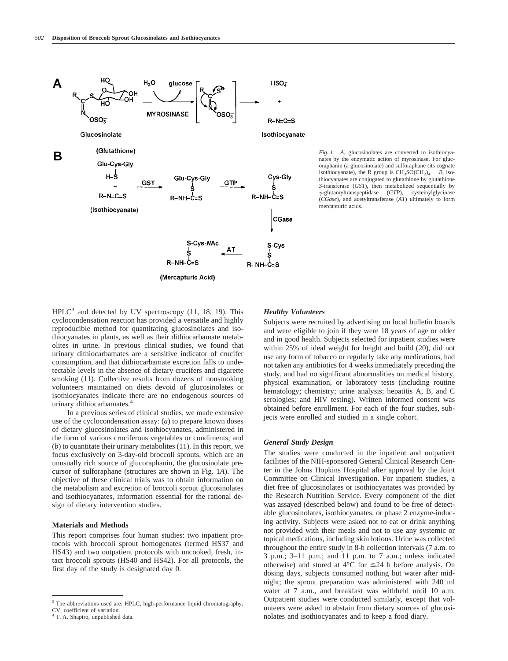

*Fig. 1*. *A*, glucosinolates are converted to isothiocyanates by the enzymatic action of myrosinase. For glucoraphanin (a glucosinolate) and sulforaphane (its cognate isothiocyanate), the R group is  $CH_3SO(CH_2)_4-.$  *B*, isothiocyanates are conjugated to glutathione by glutathione *S*-transferase (*GST*), then metabolized sequentially by <sup>g</sup>-glutamyltranspeptidase (*GTP*), cysteinylglycinase (*CGase*), and acetyltransferase (*AT*) ultimately to form mercapturic acids.

 $HPLC<sup>3</sup>$  and detected by UV spectroscopy (11, 18, 19). This cyclocondensation reaction has provided a versatile and highly reproducible method for quantitating glucosinolates and isothiocyanates in plants, as well as their dithiocarbamate metabolites in urine. In previous clinical studies, we found that urinary dithiocarbamates are a sensitive indicator of crucifer consumption, and that dithiocarbamate excretion falls to undetectable levels in the absence of dietary crucifers and cigarette smoking (11). Collective results from dozens of nonsmoking volunteers maintained on diets devoid of glucosinolates or isothiocyanates indicate there are no endogenous sources of urinary dithiocarbamates.<sup>4</sup>

In a previous series of clinical studies, we made extensive use of the cyclocondensation assay: (*a*) to prepare known doses of dietary glucosinolates and isothiocyanates, administered in the form of various cruciferous vegetables or condiments; and (*b*) to quantitate their urinary metabolites (11). In this report, we focus exclusively on 3-day-old broccoli sprouts, which are an unusually rich source of glucoraphanin, the glucosinolate precursor of sulforaphane (structures are shown in Fig. 1*A*). The objective of these clinical trials was to obtain information on the metabolism and excretion of broccoli sprout glucosinolates and isothiocyanates, information essential for the rational design of dietary intervention studies.

## **Materials and Methods**

This report comprises four human studies: two inpatient protocols with broccoli sprout homogenates (termed HS37 and HS43) and two outpatient protocols with uncooked, fresh, intact broccoli sprouts (HS40 and HS42). For all protocols, the first day of the study is designated day 0.

### *Healthy Volunteers*

Subjects were recruited by advertising on local bulletin boards and were eligible to join if they were 18 years of age or older and in good health. Subjects selected for inpatient studies were within 25% of ideal weight for height and build (20), did not use any form of tobacco or regularly take any medications, had not taken any antibiotics for 4 weeks immediately preceding the study, and had no significant abnormalities on medical history, physical examination, or laboratory tests (including routine hematology; chemistry; urine analysis; hepatitis A, B, and C serologies; and HIV testing). Written informed consent was obtained before enrollment. For each of the four studies, subjects were enrolled and studied in a single cohort.

## *General Study Design*

The studies were conducted in the inpatient and outpatient facilities of the NIH-sponsored General Clinical Research Center in the Johns Hopkins Hospital after approval by the Joint Committee on Clinical Investigation. For inpatient studies, a diet free of glucosinolates or isothiocyanates was provided by the Research Nutrition Service. Every component of the diet was assayed (described below) and found to be free of detectable glucosinolates, isothiocyanates, or phase 2 enzyme-inducing activity. Subjects were asked not to eat or drink anything not provided with their meals and not to use any systemic or topical medications, including skin lotions. Urine was collected throughout the entire study in 8-h collection intervals (7 a.m. to 3 p.m.; 3–11 p.m.; and 11 p.m. to 7 a.m.; unless indicated otherwise) and stored at 4 $\degree$ C for  $\leq$ 24 h before analysis. On dosing days, subjects consumed nothing but water after midnight; the sprout preparation was administered with 240 ml water at 7 a.m., and breakfast was withheld until 10 a.m. Outpatient studies were conducted similarly, except that volunteers were asked to abstain from dietary sources of glucosinolates and isothiocyanates and to keep a food diary.

<sup>&</sup>lt;sup>3</sup> The abbreviations used are: HPLC, high-performance liquid chromatography; CV, coefficient of variation.

<sup>4</sup> T. A. Shapiro, unpublished data.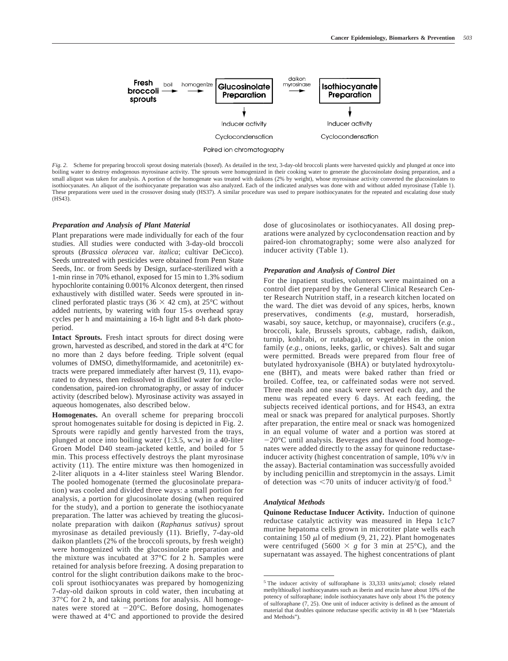

*Fig. 2*. Scheme for preparing broccoli sprout dosing materials (*boxed*). As detailed in the text, 3-day-old broccoli plants were harvested quickly and plunged at once into boiling water to destroy endogenous myrosinase activity. The sprouts were homogenized in their cooking water to generate the glucosinolate dosing preparation, and a small aliquot was taken for analysis. A portion of the homogenate was treated with daikons (2% by weight), whose myrosinase activity converted the glucosinolates to isothiocyanates. An aliquot of the isothiocyanate preparation was also analyzed. Each of the indicated analyses was done with and without added myrosinase (Table 1). These preparations were used in the crossover dosing study (HS37). A similar procedure was used to prepare isothiocyanates for the repeated and escalating dose study (HS43).

#### *Preparation and Analysis of Plant Material*

Plant preparations were made individually for each of the four studies. All studies were conducted with 3-day-old broccoli sprouts (*Brassica oleracea* var. *italica*; cultivar DeCicco). Seeds untreated with pesticides were obtained from Penn State Seeds, Inc. or from Seeds by Design, surface-sterilized with a 1-min rinse in 70% ethanol, exposed for 15 min to 1.3% sodium hypochlorite containing 0.001% Alconox detergent, then rinsed exhaustively with distilled water. Seeds were sprouted in inclined perforated plastic trays (36  $\times$  42 cm), at 25°C without added nutrients, by watering with four 15-s overhead spray cycles per h and maintaining a 16-h light and 8-h dark photoperiod.

**Intact Sprouts.** Fresh intact sprouts for direct dosing were grown, harvested as described, and stored in the dark at 4°C for no more than 2 days before feeding. Triple solvent (equal volumes of DMSO, dimethylformamide, and acetonitrile) extracts were prepared immediately after harvest (9, 11), evaporated to dryness, then redissolved in distilled water for cyclocondensation, paired-ion chromatography, or assay of inducer activity (described below). Myrosinase activity was assayed in aqueous homogenates, also described below.

**Homogenates.** An overall scheme for preparing broccoli sprout homogenates suitable for dosing is depicted in Fig. 2. Sprouts were rapidly and gently harvested from the trays, plunged at once into boiling water (1:3.5, w:w) in a 40-liter Groen Model D40 steam-jacketed kettle, and boiled for 5 min. This process effectively destroys the plant myrosinase activity (11). The entire mixture was then homogenized in 2-liter aliquots in a 4-liter stainless steel Waring Blendor. The pooled homogenate (termed the glucosinolate preparation) was cooled and divided three ways: a small portion for analysis, a portion for glucosinolate dosing (when required for the study), and a portion to generate the isothiocyanate preparation. The latter was achieved by treating the glucosinolate preparation with daikon (*Raphanus sativus)* sprout myrosinase as detailed previously (11). Briefly, 7-day-old daikon plantlets (2% of the broccoli sprouts, by fresh weight) were homogenized with the glucosinolate preparation and the mixture was incubated at 37°C for 2 h. Samples were retained for analysis before freezing. A dosing preparation to control for the slight contribution daikons make to the broccoli sprout isothiocyanates was prepared by homogenizing 7-day-old daikon sprouts in cold water, then incubating at 37°C for 2 h, and taking portions for analysis. All homogenates were stored at  $-20^{\circ}$ C. Before dosing, homogenates were thawed at 4°C and apportioned to provide the desired dose of glucosinolates or isothiocyanates. All dosing preparations were analyzed by cyclocondensation reaction and by paired-ion chromatography; some were also analyzed for inducer activity (Table 1).

#### *Preparation and Analysis of Control Diet*

For the inpatient studies, volunteers were maintained on a control diet prepared by the General Clinical Research Center Research Nutrition staff, in a research kitchen located on the ward. The diet was devoid of any spices, herbs, known preservatives, condiments (*e.g*, mustard, horseradish, wasabi, soy sauce, ketchup, or mayonnaise), crucifers (*e.g.,* broccoli, kale, Brussels sprouts, cabbage, radish, daikon, turnip, kohlrabi, or rutabaga), or vegetables in the onion family (*e.g.,* onions, leeks, garlic, or chives). Salt and sugar were permitted. Breads were prepared from flour free of butylated hydroxyanisole (BHA) or butylated hydroxytoluene (BHT), and meats were baked rather than fried or broiled. Coffee, tea, or caffeinated sodas were not served. Three meals and one snack were served each day, and the menu was repeated every 6 days. At each feeding, the subjects received identical portions, and for HS43, an extra meal or snack was prepared for analytical purposes. Shortly after preparation, the entire meal or snack was homogenized in an equal volume of water and a portion was stored at  $-20^{\circ}$ C until analysis. Beverages and thawed food homogenates were added directly to the assay for quinone reductaseinducer activity (highest concentration of sample, 10% v/v in the assay). Bacterial contamination was successfully avoided by including penicillin and streptomycin in the assays. Limit of detection was  $\leq$ 70 units of inducer activity/g of food.<sup>5</sup>

#### *Analytical Methods*

**Quinone Reductase Inducer Activity.** Induction of quinone reductase catalytic activity was measured in Hepa 1c1c7 murine hepatoma cells grown in microtiter plate wells each containing 150  $\mu$ l of medium (9, 21, 22). Plant homogenates were centrifuged (5600  $\times$  g for 3 min at 25°C), and the supernatant was assayed. The highest concentrations of plant

 $5$  The inducer activity of sulforaphane is 33,333 units/ $\mu$ mol; closely related methylthioalkyl isothiocyanates such as iberin and erucin have about 10% of the potency of sulforaphane; indole isothiocyanates have only about 1% the potency of sulforaphane (7, 25). One unit of inducer activity is defined as the amount of material that doubles quinone reductase specific activity in 48 h (see "Materials and Methods").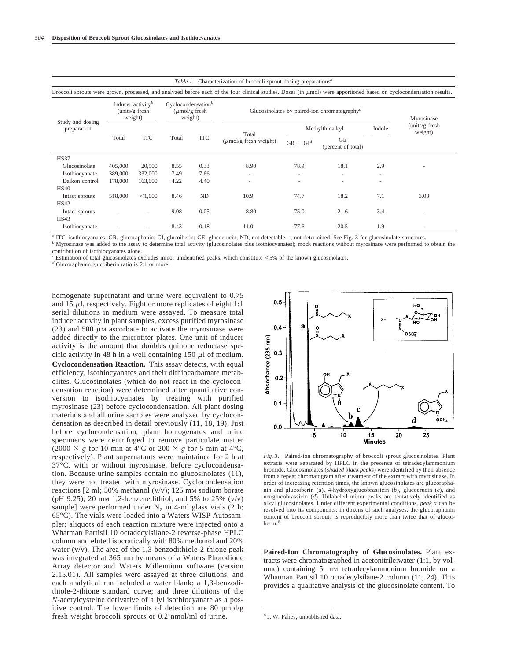| Characterization of broccoli sprout dosing preparations <sup><math>a</math></sup><br>Table 1 |                                                              |            |                                                                        |            |                                                                                                                                                                          |                          |                                 |                          |                             |
|----------------------------------------------------------------------------------------------|--------------------------------------------------------------|------------|------------------------------------------------------------------------|------------|--------------------------------------------------------------------------------------------------------------------------------------------------------------------------|--------------------------|---------------------------------|--------------------------|-----------------------------|
|                                                                                              |                                                              |            |                                                                        |            | Broccoli sprouts were grown, processed, and analyzed before each of the four clinical studies. Doses (in $\mu$ mol) were apportioned based on cyclocondensation results. |                          |                                 |                          |                             |
| Study and dosing<br>preparation                                                              | Inducer activity <sup>b</sup><br>$(units/g$ fresh<br>weight) |            | Cyclocondensation <sup>b</sup><br>$(\mu \text{mol/g}$ fresh<br>weight) |            | Glucosinolates by paired-ion chromatography <sup><math>c</math></sup>                                                                                                    |                          |                                 |                          | Myrosinase                  |
|                                                                                              | Total                                                        | <b>ITC</b> | Total                                                                  | <b>ITC</b> | Total<br>$(\mu$ mol/g fresh weight)                                                                                                                                      | Methylthioalkyl          |                                 | Indole                   | $(units/g$ fresh<br>weight) |
|                                                                                              |                                                              |            |                                                                        |            |                                                                                                                                                                          | $GR + GI^d$              | <b>GE</b><br>(percent of total) |                          |                             |
| <b>HS37</b>                                                                                  |                                                              |            |                                                                        |            |                                                                                                                                                                          |                          |                                 |                          |                             |
| Glucosinolate                                                                                | 405,000                                                      | 20,500     | 8.55                                                                   | 0.33       | 8.90                                                                                                                                                                     | 78.9                     | 18.1                            | 2.9                      |                             |
| Isothiocyanate                                                                               | 389,000                                                      | 332,000    | 7.49                                                                   | 7.66       | $\overline{\phantom{a}}$                                                                                                                                                 | $\overline{\phantom{a}}$ | ٠                               | $\overline{\phantom{a}}$ |                             |
| Daikon control                                                                               | 178,000                                                      | 163,000    | 4.22                                                                   | 4.40       |                                                                                                                                                                          |                          |                                 | ٠                        |                             |
| <b>HS40</b>                                                                                  |                                                              |            |                                                                        |            |                                                                                                                                                                          |                          |                                 |                          |                             |
| Intact sprouts                                                                               | 518,000                                                      | < 1,000    | 8.46                                                                   | ND         | 10.9                                                                                                                                                                     | 74.7                     | 18.2                            | 7.1                      | 3.03                        |
| <b>HS42</b>                                                                                  |                                                              |            |                                                                        |            |                                                                                                                                                                          |                          |                                 |                          |                             |
| Intact sprouts                                                                               |                                                              |            | 9.08                                                                   | 0.05       | 8.80                                                                                                                                                                     | 75.0                     | 21.6                            | 3.4                      |                             |
| <b>HS43</b>                                                                                  |                                                              |            |                                                                        |            |                                                                                                                                                                          |                          |                                 |                          |                             |
| Isothiocyanate                                                                               | ٠                                                            |            | 8.43                                                                   | 0.18       | 11.0                                                                                                                                                                     | 77.6                     | 20.5                            | 1.9                      |                             |

 $\alpha$  ITC, isothiocyanates; GR, glucoraphanin; GI, glucoiberin; GE, glucoerucin; ND, not detectable; -, not determined. See Fig. 3 for glucosinolate structures.<br>  $\alpha$  Myrosinase was added to the assay to determine total ac contribution of isothiocyanates alone.

*<sup>c</sup>* Estimation of total glucosinolates excludes minor unidentified peaks, which constitute ,5% of the known glucosinolates. *<sup>d</sup>* Glucoraphanin:glucoiberin ratio is 2:1 or more.

homogenate supernatant and urine were equivalent to 0.75 and 15  $\mu$ l, respectively. Eight or more replicates of eight 1:1 serial dilutions in medium were assayed. To measure total inducer activity in plant samples, excess purified myrosinase (23) and 500  $\mu$ M ascorbate to activate the myrosinase were added directly to the microtiter plates. One unit of inducer activity is the amount that doubles quinone reductase specific activity in 48 h in a well containing 150  $\mu$ l of medium. **Cyclocondensation Reaction.** This assay detects, with equal

efficiency, isothiocyanates and their dithiocarbamate metabolites. Glucosinolates (which do not react in the cyclocondensation reaction) were determined after quantitative conversion to isothiocyanates by treating with purified myrosinase (23) before cyclocondensation. All plant dosing materials and all urine samples were analyzed by cyclocondensation as described in detail previously (11, 18, 19). Just before cyclocondensation, plant homogenates and urine specimens were centrifuged to remove particulate matter (2000  $\times$  *g* for 10 min at 4°C or 200  $\times$  *g* for 5 min at 4°C, respectively). Plant supernatants were maintained for 2 h at 37°C, with or without myrosinase, before cyclocondensation. Because urine samples contain no glucosinolates (11), they were not treated with myrosinase. Cyclocondensation reactions [2 ml; 50% methanol  $(v/v)$ ; 125 mm sodium borate (pH 9.25); 20 mm 1,2-benzenedithiol; and 5% to 25%  $(v/v)$ sample] were performed under  $N_2$  in 4-ml glass vials (2 h; 65°C). The vials were loaded into a Waters WISP Autosampler; aliquots of each reaction mixture were injected onto a Whatman Partisil 10 octadecylsilane-2 reverse-phase HPLC column and eluted isocratically with 80% methanol and 20% water  $(v/v)$ . The area of the 1,3-benzodithiole-2-thione peak was integrated at 365 nm by means of a Waters Photodiode Array detector and Waters Millennium software (version 2.15.01). All samples were assayed at three dilutions, and each analytical run included a water blank; a 1,3-benzodithiole-2-thione standard curve; and three dilutions of the *N*-acetylcysteine derivative of allyl isothiocyanate as a positive control. The lower limits of detection are 80 pmol/g fresh weight broccoli sprouts or 0.2 nmol/ml of urine.



*Fig. 3*. Paired-ion chromatography of broccoli sprout glucosinolates. Plant extracts were separated by HPLC in the presence of tetradecylammonium bromide. Glucosinolates (*shaded black peaks*) were identified by their absence from a repeat chromatogram after treatment of the extract with myrosinase. In order of increasing retention times, the known glucosinolates are glucoraphanin and glucoiberin (*a*), 4-hydroxyglucobrassicin (*b*), glucoerucin (*c*), and neoglucobrassicin (*d*). Unlabeled minor peaks are tentatively identified as alkyl glucosinolates. Under different experimental conditions, *peak a* can be resolved into its components; in dozens of such analyses, the glucoraphanin content of broccoli sprouts is reproducibly more than twice that of glucoiberin. $<sup>6</sup>$ </sup>

**Paired-Ion Chromatography of Glucosinolates.** Plant extracts were chromatographed in acetonitrile:water (1:1, by volume) containing 5 mM tetradecylammonium bromide on a Whatman Partisil 10 octadecylsilane-2 column (11, 24). This provides a qualitative analysis of the glucosinolate content. To

<sup>6</sup> J. W. Fahey, unpublished data.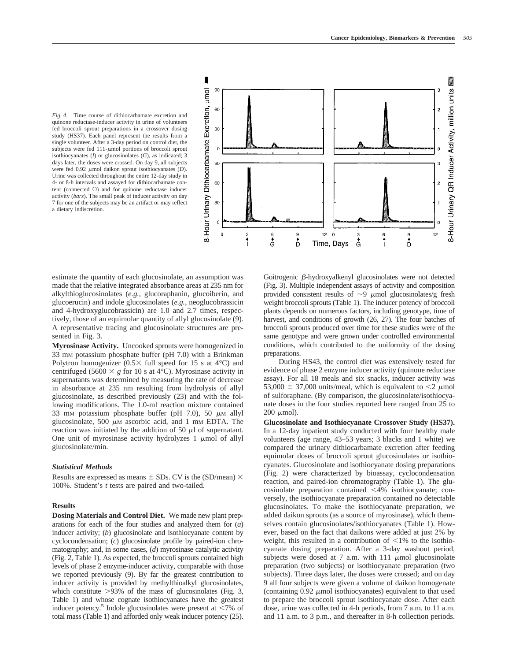



estimate the quantity of each glucosinolate, an assumption was made that the relative integrated absorbance areas at 235 nm for alkylthioglucosinolates (*e.g.,* glucoraphanin, glucoiberin, and glucoerucin) and indole glucosinolates (*e.g.,* neoglucobrassicin and 4-hydroxyglucobrassicin) are 1.0 and 2.7 times, respectively, those of an equimolar quantity of allyl glucosinolate (9). A representative tracing and glucosinolate structures are presented in Fig. 3.

**Myrosinase Activity.** Uncooked sprouts were homogenized in 33 mM potassium phosphate buffer (pH 7.0) with a Brinkman Polytron homogenizer ( $0.5 \times$  full speed for 15 s at 4°C) and centrifuged (5600  $\times g$  for 10 s at 4<sup>o</sup>C). Myrosinase activity in supernatants was determined by measuring the rate of decrease in absorbance at 235 nm resulting from hydrolysis of allyl glucosinolate, as described previously (23) and with the following modifications. The 1.0-ml reaction mixture contained 33 mm potassium phosphate buffer (pH 7.0), 50  $\mu$ M allyl glucosinolate, 500  $\mu$ M ascorbic acid, and 1 mM EDTA. The reaction was initiated by the addition of 50  $\mu$ l of supernatant. One unit of myrosinase activity hydrolyzes 1  $\mu$ mol of allyl glucosinolate/min.

#### *Statistical Methods*

Results are expressed as means  $\pm$  SDs. CV is the (SD/mean)  $\times$ 100%. Student's *t* tests are paired and two-tailed.

## **Results**

**Dosing Materials and Control Diet.** We made new plant preparations for each of the four studies and analyzed them for (*a*) inducer activity; (*b*) glucosinolate and isothiocyanate content by cyclocondensation; (*c*) glucosinolate profile by paired-ion chromatography; and, in some cases, (*d*) myrosinase catalytic activity (Fig. 2, Table 1). As expected, the broccoli sprouts contained high levels of phase 2 enzyme-inducer activity, comparable with those we reported previously (9). By far the greatest contribution to inducer activity is provided by methylthioalkyl glucosinolates, which constitute  $>93\%$  of the mass of glucosinolates (Fig. 3, Table 1) and whose cognate isothiocyanates have the greatest inducer potency.<sup>5</sup> Indole glucosinolates were present at  $\langle 7\% \rangle$  of total mass (Table 1) and afforded only weak inducer potency (25). Goitrogenic  $\beta$ -hydroxyalkenyl glucosinolates were not detected (Fig. 3). Multiple independent assays of activity and composition provided consistent results of  $\sim$ 9  $\mu$ mol glucosinolates/g fresh weight broccoli sprouts (Table 1). The inducer potency of broccoli plants depends on numerous factors, including genotype, time of harvest, and conditions of growth (26, 27). The four batches of broccoli sprouts produced over time for these studies were of the same genotype and were grown under controlled environmental conditions, which contributed to the uniformity of the dosing preparations.

During HS43, the control diet was extensively tested for evidence of phase 2 enzyme inducer activity (quinone reductase assay). For all 18 meals and six snacks, inducer activity was 53,000  $\pm$  37,000 units/meal, which is equivalent to  $\leq$   $\mu$ mol of sulforaphane. (By comparison, the glucosinolate/isothiocyanate doses in the four studies reported here ranged from 25 to  $200 \mu$ mol).

**Glucosinolate and Isothiocyanate Crossover Study (HS37).** In a 12-day inpatient study conducted with four healthy male volunteers (age range, 43–53 years; 3 blacks and 1 white) we compared the urinary dithiocarbamate excretion after feeding equimolar doses of broccoli sprout glucosinolates or isothiocyanates. Glucosinolate and isothiocyanate dosing preparations (Fig. 2) were characterized by bioassay, cyclocondensation reaction, and paired-ion chromatography (Table 1). The glucosinolate preparation contained  $\leq 4\%$  isothiocyanate; conversely, the isothiocyanate preparation contained no detectable glucosinolates. To make the isothiocyanate preparation, we added daikon sprouts (as a source of myrosinase), which themselves contain glucosinolates/isothiocyanates (Table 1). However, based on the fact that daikons were added at just 2% by weight, this resulted in a contribution of  $\leq 1\%$  to the isothiocyanate dosing preparation. After a 3-day washout period, subjects were dosed at 7 a.m. with 111  $\mu$ mol glucosinolate preparation (two subjects) or isothiocyanate preparation (two subjects). Three days later, the doses were crossed; and on day 9 all four subjects were given a volume of daikon homogenate (containing  $0.92 \mu$ mol isothiocyanates) equivalent to that used to prepare the broccoli sprout isothiocyanate dose. After each dose, urine was collected in 4-h periods, from 7 a.m. to 11 a.m. and 11 a.m. to 3 p.m., and thereafter in 8-h collection periods.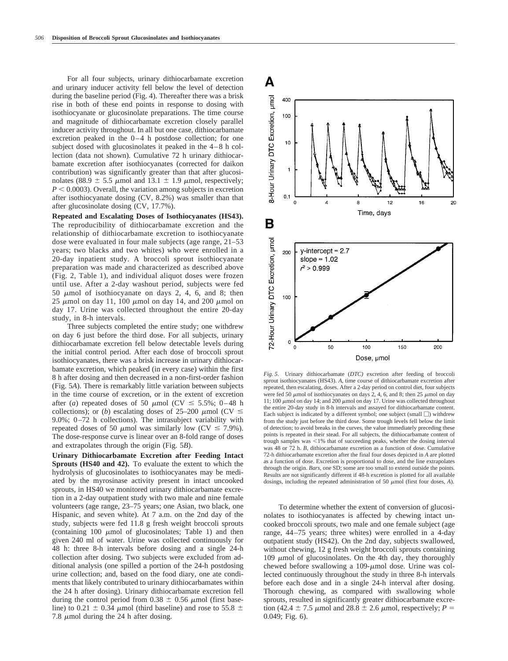For all four subjects, urinary dithiocarbamate excretion and urinary inducer activity fell below the level of detection during the baseline period (Fig. 4). Thereafter there was a brisk rise in both of these end points in response to dosing with isothiocyanate or glucosinolate preparations. The time course and magnitude of dithiocarbamate excretion closely parallel inducer activity throughout. In all but one case, dithiocarbamate excretion peaked in the 0–4 h postdose collection; for one subject dosed with glucosinolates it peaked in the 4–8 h collection (data not shown). Cumulative 72 h urinary dithiocarbamate excretion after isothiocyanates (corrected for daikon contribution) was significantly greater than that after glucosinolates (88.9  $\pm$  5.5  $\mu$ mol and 13.1  $\pm$  1.9  $\mu$ mol, respectively;  $P < 0.0003$ ). Overall, the variation among subjects in excretion after isothiocyanate dosing (CV, 8.2%) was smaller than that after glucosinolate dosing (CV, 17.7%).

**Repeated and Escalating Doses of Isothiocyanates (HS43).** The reproducibility of dithiocarbamate excretion and the relationship of dithiocarbamate excretion to isothiocyanate dose were evaluated in four male subjects (age range, 21–53 years; two blacks and two whites) who were enrolled in a 20-day inpatient study. A broccoli sprout isothiocyanate preparation was made and characterized as described above (Fig. 2, Table 1), and individual aliquot doses were frozen until use. After a 2-day washout period, subjects were fed 50  $\mu$ mol of isothiocyanate on days 2, 4, 6, and 8; then 25  $\mu$ mol on day 11, 100  $\mu$ mol on day 14, and 200  $\mu$ mol on day 17. Urine was collected throughout the entire 20-day study, in 8-h intervals.

Three subjects completed the entire study; one withdrew on day 6 just before the third dose. For all subjects, urinary dithiocarbamate excretion fell below detectable levels during the initial control period. After each dose of broccoli sprout isothiocyanates, there was a brisk increase in urinary dithiocarbamate excretion, which peaked (in every case) within the first 8 h after dosing and then decreased in a non-first-order fashion (Fig. 5*A*). There is remarkably little variation between subjects in the time course of excretion, or in the extent of excretion after (*a*) repeated doses of 50  $\mu$ mol (CV  $\leq$  5.5%; 0–48 h collections); or (*b*) escalating doses of 25–200  $\mu$ mol (CV  $\le$ 9.0%; 0–72 h collections). The intrasubject variability with repeated doses of 50  $\mu$ mol was similarly low (CV  $\leq$  7.9%). The dose-response curve is linear over an 8-fold range of doses and extrapolates through the origin (Fig. 5*B*).

**Urinary Dithiocarbamate Excretion after Feeding Intact Sprouts (HS40 and 42).** To evaluate the extent to which the hydrolysis of glucosinolates to isothiocyanates may be mediated by the myrosinase activity present in intact uncooked sprouts, in HS40 we monitored urinary dithiocarbamate excretion in a 2-day outpatient study with two male and nine female volunteers (age range, 23–75 years; one Asian, two black, one Hispanic, and seven white). At 7 a.m. on the 2nd day of the study, subjects were fed 11.8 g fresh weight broccoli sprouts (containing 100  $\mu$ mol of glucosinolates; Table 1) and then given 240 ml of water. Urine was collected continuously for 48 h: three 8-h intervals before dosing and a single 24-h collection after dosing. Two subjects were excluded from additional analysis (one spilled a portion of the 24-h postdosing urine collection; and, based on the food diary, one ate condiments that likely contributed to urinary dithiocarbamates within the 24 h after dosing). Urinary dithiocarbamate excretion fell during the control period from 0.38  $\pm$  0.56  $\mu$ mol (first baseline) to 0.21  $\pm$  0.34  $\mu$ mol (third baseline) and rose to 55.8  $\pm$ 7.8  $\mu$ mol during the 24 h after dosing.



*Fig. 5*. Urinary dithiocarbamate (*DTC)* excretion after feeding of broccoli sprout isothiocyanates (HS43). *A*, time course of dithiocarbamate excretion after repeated, then escalating, doses. After a 2-day period on control diet, four subjects were fed 50  $\mu$ mol of isothiocyanates on days 2, 4, 6, and 8; then 25  $\mu$ mol on day 11; 100  $\mu$ mol on day 14; and 200  $\mu$ mol on day 17. Urine was collected throughout the entire 20-day study in 8-h intervals and assayed for dithiocarbamate content. Each subject is indicated by a different symbol; one subject (small  $\Box$ ) withdrew from the study just before the third dose. Some trough levels fell below the limit of detection; to avoid breaks in the curves, the value immediately preceding these points is repeated in their stead. For all subjects, the dithiocarbamate content of trough samples was  $<$  1% that of succeeding peaks, whether the dosing interval was 48 or 72 h. *B*, dithiocarbamate excretion as a function of dose. Cumulative 72-h dithiocarbamate excretion after the final four doses depicted in *A* are plotted as a function of dose. Excretion is proportional to dose, and the line extrapolates through the origin. *Bars*, one SD; some are too small to extend outside the points. Results are not significantly different if 48-h excretion is plotted for all available dosings, including the repeated administration of 50 <sup>m</sup>mol (first four doses, *A*).

To determine whether the extent of conversion of glucosinolates to isothiocyanates is affected by chewing intact uncooked broccoli sprouts, two male and one female subject (age range, 44–75 years; three whites) were enrolled in a 4-day outpatient study (HS42). On the 2nd day, subjects swallowed, without chewing, 12 g fresh weight broccoli sprouts containing 109  $\mu$ mol of glucosinolates. On the 4th day, they thoroughly chewed before swallowing a  $109$ - $\mu$ mol dose. Urine was collected continuously throughout the study in three 8-h intervals before each dose and in a single 24-h interval after dosing. Thorough chewing, as compared with swallowing whole sprouts, resulted in significantly greater dithiocarbamate excretion (42.4  $\pm$  7.5  $\mu$ mol and 28.8  $\pm$  2.6  $\mu$ mol, respectively; *P* = 0.049; Fig. 6).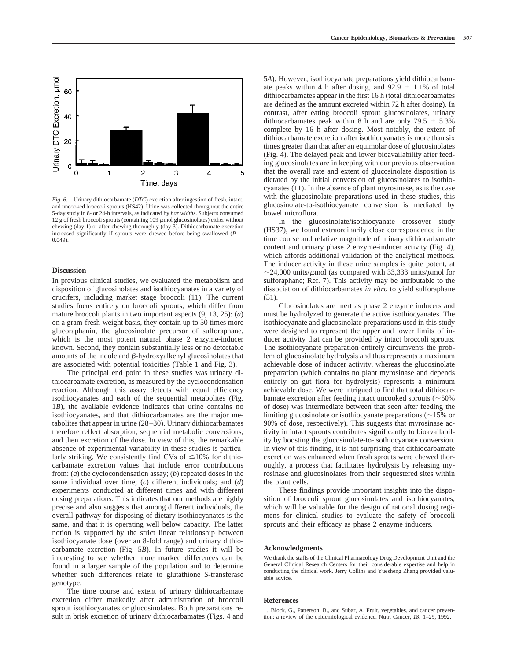

*Fig. 6*. Urinary dithiocarbamate (*DTC*) excretion after ingestion of fresh, intact, and uncooked broccoli sprouts (HS42). Urine was collected throughout the entire 5-day study in 8- or 24-h intervals, as indicated by *bar widths*. Subjects consumed 12 g of fresh broccoli sprouts (containing  $109 \mu$ mol glucosinolates) either without chewing (day 1) or after chewing thoroughly (day 3). Dithiocarbamate excretion increased significantly if sprouts were chewed before being swallowed  $(P =$ 0.049).

#### **Discussion**

In previous clinical studies, we evaluated the metabolism and disposition of glucosinolates and isothiocyanates in a variety of crucifers, including market stage broccoli (11). The current studies focus entirely on broccoli sprouts, which differ from mature broccoli plants in two important aspects (9, 13, 25): (*a*) on a gram-fresh-weight basis, they contain up to 50 times more glucoraphanin, the glucosinolate precursor of sulforaphane, which is the most potent natural phase 2 enzyme-inducer known. Second, they contain substantially less or no detectable amounts of the indole and  $\beta$ -hydroxyalkenyl glucosinolates that are associated with potential toxicities (Table 1 and Fig. 3).

The principal end point in these studies was urinary dithiocarbamate excretion, as measured by the cyclocondensation reaction. Although this assay detects with equal efficiency isothiocyanates and each of the sequential metabolites (Fig. 1*B*), the available evidence indicates that urine contains no isothiocyanates, and that dithiocarbamates are the major metabolites that appear in urine (28–30). Urinary dithiocarbamates therefore reflect absorption, sequential metabolic conversions, and then excretion of the dose. In view of this, the remarkable absence of experimental variability in these studies is particularly striking. We consistently find CVs of  $\leq 10\%$  for dithiocarbamate excretion values that include error contributions from: (*a*) the cyclocondensation assay; (*b*) repeated doses in the same individual over time; (*c*) different individuals; and (*d*) experiments conducted at different times and with different dosing preparations. This indicates that our methods are highly precise and also suggests that among different individuals, the overall pathway for disposing of dietary isothiocyanates is the same, and that it is operating well below capacity. The latter notion is supported by the strict linear relationship between isothiocyanate dose (over an 8-fold range) and urinary dithiocarbamate excretion (Fig. 5*B*). In future studies it will be interesting to see whether more marked differences can be found in a larger sample of the population and to determine whether such differences relate to glutathione *S*-transferase genotype.

The time course and extent of urinary dithiocarbamate excretion differ markedly after administration of broccoli sprout isothiocyanates or glucosinolates. Both preparations result in brisk excretion of urinary dithiocarbamates (Figs. 4 and 5*A*). However, isothiocyanate preparations yield dithiocarbamate peaks within 4 h after dosing, and  $92.9 \pm 1.1\%$  of total dithiocarbamates appear in the first 16 h (total dithiocarbamates are defined as the amount excreted within 72 h after dosing). In contrast, after eating broccoli sprout glucosinolates, urinary dithiocarbamates peak within 8 h and are only 79.5  $\pm$  5.3% complete by 16 h after dosing. Most notably, the extent of dithiocarbamate excretion after isothiocyanates is more than six times greater than that after an equimolar dose of glucosinolates (Fig. 4). The delayed peak and lower bioavailability after feeding glucosinolates are in keeping with our previous observation that the overall rate and extent of glucosinolate disposition is dictated by the initial conversion of glucosinolates to isothiocyanates (11). In the absence of plant myrosinase, as is the case with the glucosinolate preparations used in these studies, this glucosinolate-to-isothiocyanate conversion is mediated by bowel microflora.

In the glucosinolate/isothiocyanate crossover study (HS37), we found extraordinarily close correspondence in the time course and relative magnitude of urinary dithiocarbamate content and urinary phase 2 enzyme-inducer activity (Fig. 4), which affords additional validation of the analytical methods. The inducer activity in these urine samples is quite potent, at  $\sim$ 24,000 units/ $\mu$ mol (as compared with 33,333 units/ $\mu$ mol for sulforaphane; Ref. 7). This activity may be attributable to the dissociation of dithiocarbamates *in vitro* to yield sulforaphane (31).

Glucosinolates are inert as phase 2 enzyme inducers and must be hydrolyzed to generate the active isothiocyanates. The isothiocyanate and glucosinolate preparations used in this study were designed to represent the upper and lower limits of inducer activity that can be provided by intact broccoli sprouts. The isothiocyanate preparation entirely circumvents the problem of glucosinolate hydrolysis and thus represents a maximum achievable dose of inducer activity, whereas the glucosinolate preparation (which contains no plant myrosinase and depends entirely on gut flora for hydrolysis) represents a minimum achievable dose. We were intrigued to find that total dithiocarbamate excretion after feeding intact uncooked sprouts  $($   $\sim$  50% of dose) was intermediate between that seen after feeding the limiting glucosinolate or isothiocyanate preparations  $($   $\sim$  15% or 90% of dose, respectively). This suggests that myrosinase activity in intact sprouts contributes significantly to bioavailability by boosting the glucosinolate-to-isothiocyanate conversion. In view of this finding, it is not surprising that dithiocarbamate excretion was enhanced when fresh sprouts were chewed thoroughly, a process that facilitates hydrolysis by releasing myrosinase and glucosinolates from their sequestered sites within the plant cells.

These findings provide important insights into the disposition of broccoli sprout glucosinolates and isothiocyanates, which will be valuable for the design of rational dosing regimens for clinical studies to evaluate the safety of broccoli sprouts and their efficacy as phase 2 enzyme inducers.

#### **Acknowledgments**

We thank the staffs of the Clinical Pharmacology Drug Development Unit and the General Clinical Research Centers for their considerable expertise and help in conducting the clinical work. Jerry Collins and Yuesheng Zhang provided valuable advice.

#### **References**

1. Block, G., Patterson, B., and Subar, A. Fruit, vegetables, and cancer prevention: a review of the epidemiological evidence. Nutr. Cancer, *18:* 1–29, 1992.